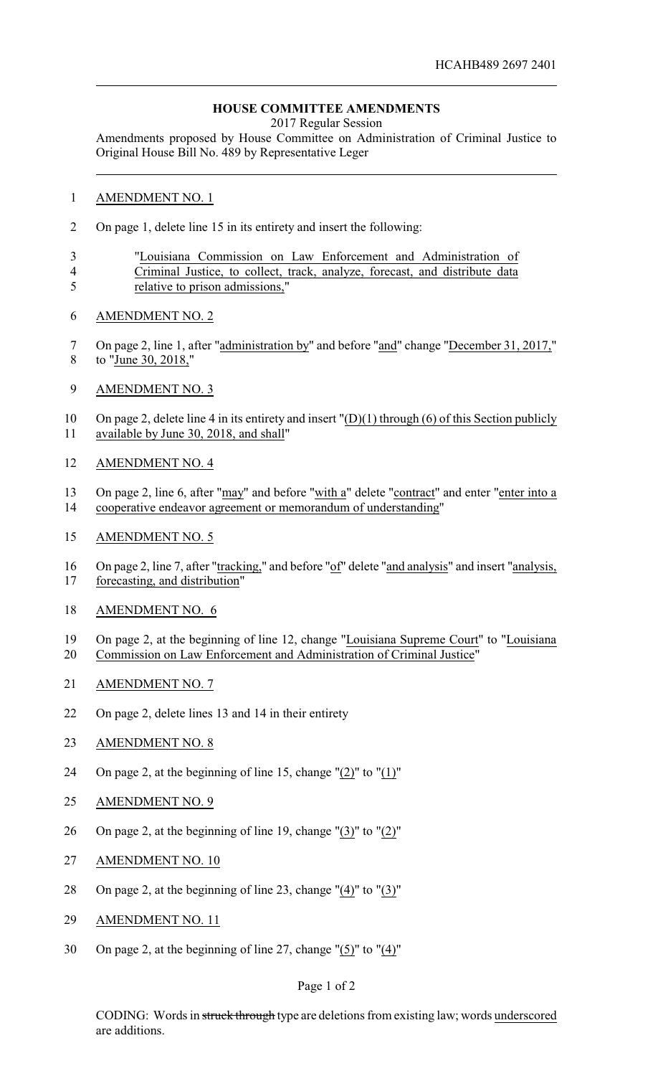## **HOUSE COMMITTEE AMENDMENTS**

2017 Regular Session

Amendments proposed by House Committee on Administration of Criminal Justice to Original House Bill No. 489 by Representative Leger

## AMENDMENT NO. 1

- On page 1, delete line 15 in its entirety and insert the following:
- "Louisiana Commission on Law Enforcement and Administration of Criminal Justice, to collect, track, analyze, forecast, and distribute data
- relative to prison admissions,"
- AMENDMENT NO. 2
- On page 2, line 1, after "administration by" and before "and" change "December 31, 2017," to "June 30, 2018,"
- AMENDMENT NO. 3

 On page 2, delete line 4 in its entirety and insert "(D)(1) through (6) of this Section publicly available by June 30, 2018, and shall"

- AMENDMENT NO. 4
- On page 2, line 6, after "may" and before "with a" delete "contract" and enter "enter into a cooperative endeavor agreement or memorandum of understanding"
- AMENDMENT NO. 5
- On page 2, line 7, after "tracking," and before "of" delete "and analysis" and insert "analysis, forecasting, and distribution"
- AMENDMENT NO. 6
- On page 2, at the beginning of line 12, change "Louisiana Supreme Court" to "Louisiana Commission on Law Enforcement and Administration of Criminal Justice"
- AMENDMENT NO. 7
- On page 2, delete lines 13 and 14 in their entirety
- AMENDMENT NO. 8
- On page 2, at the beginning of line 15, change "(2)" to "(1)"
- 25 AMENDMENT NO. 9
- On page 2, at the beginning of line 19, change "(3)" to "(2)"
- AMENDMENT NO. 10
- 28 On page 2, at the beginning of line 23, change " $(4)$ " to " $(3)$ "
- AMENDMENT NO. 11
- On page 2, at the beginning of line 27, change "(5)" to "(4)"

## Page 1 of 2

CODING: Words in struck through type are deletions from existing law; words underscored are additions.